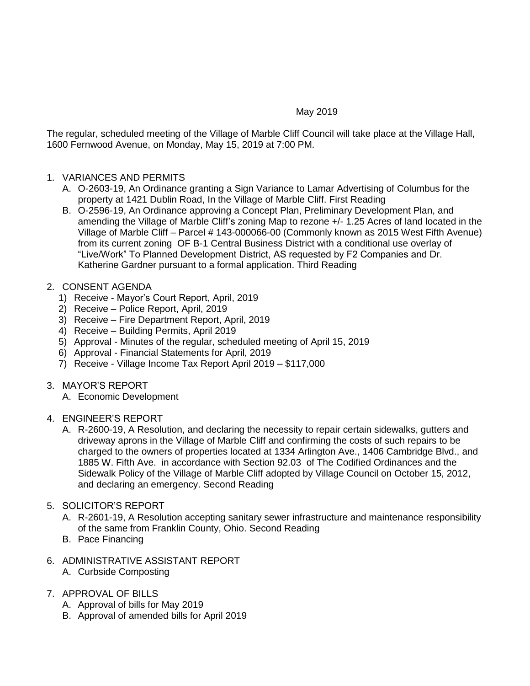## May 2019

The regular, scheduled meeting of the Village of Marble Cliff Council will take place at the Village Hall, 1600 Fernwood Avenue, on Monday, May 15, 2019 at 7:00 PM.

## 1. VARIANCES AND PERMITS

- A. O-2603-19, An Ordinance granting a Sign Variance to Lamar Advertising of Columbus for the property at 1421 Dublin Road, In the Village of Marble Cliff. First Reading
- B. O-2596-19, An Ordinance approving a Concept Plan, Preliminary Development Plan, and amending the Village of Marble Cliff's zoning Map to rezone +/- 1.25 Acres of land located in the Village of Marble Cliff – Parcel # 143-000066-00 (Commonly known as 2015 West Fifth Avenue) from its current zoning OF B-1 Central Business District with a conditional use overlay of "Live/Work" To Planned Development District, AS requested by F2 Companies and Dr. Katherine Gardner pursuant to a formal application. Third Reading

## 2. CONSENT AGENDA

- 1) Receive Mayor's Court Report, April, 2019
- 2) Receive Police Report, April, 2019
- 3) Receive Fire Department Report, April, 2019
- 4) Receive Building Permits, April 2019
- 5) Approval Minutes of the regular, scheduled meeting of April 15, 2019
- 6) Approval Financial Statements for April, 2019
- 7) Receive Village Income Tax Report April 2019 \$117,000
- 3. MAYOR'S REPORT
	- A. Economic Development

#### 4. ENGINEER'S REPORT

A. R-2600-19, A Resolution, and declaring the necessity to repair certain sidewalks, gutters and driveway aprons in the Village of Marble Cliff and confirming the costs of such repairs to be charged to the owners of properties located at 1334 Arlington Ave., 1406 Cambridge Blvd., and 1885 W. Fifth Ave. in accordance with Section 92.03 of The Codified Ordinances and the Sidewalk Policy of the Village of Marble Cliff adopted by Village Council on October 15, 2012, and declaring an emergency. Second Reading

#### 5. SOLICITOR'S REPORT

- A. R-2601-19, A Resolution accepting sanitary sewer infrastructure and maintenance responsibility of the same from Franklin County, Ohio. Second Reading
- B. Pace Financing
- 6. ADMINISTRATIVE ASSISTANT REPORT
	- A. Curbside Composting

# 7. APPROVAL OF BILLS

- A. Approval of bills for May 2019
- B. Approval of amended bills for April 2019